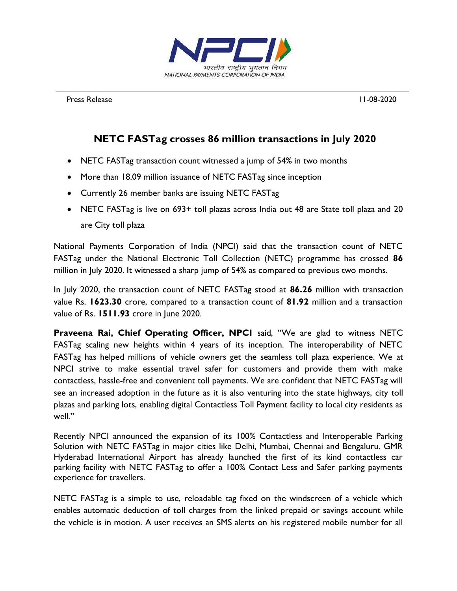

Press Release 11-08-2020

## **NETC FASTag crosses 86 million transactions in July 2020**

- NETC FASTag transaction count witnessed a jump of 54% in two months
- More than 18.09 million issuance of NETC FASTag since inception
- Currently 26 member banks are issuing NETC FASTag
- NETC FASTag is live on 693+ toll plazas across India out 48 are State toll plaza and 20 are City toll plaza

National Payments Corporation of India (NPCI) said that the transaction count of NETC FASTag under the National Electronic Toll Collection (NETC) programme has crossed **86**  million in July 2020. It witnessed a sharp jump of 54% as compared to previous two months.

In July 2020, the transaction count of NETC FASTag stood at **86.26** million with transaction value Rs. **1623.30** crore, compared to a transaction count of **81.92** million and a transaction value of Rs. **1511.93** crore in June 2020.

**Praveena Rai, Chief Operating Officer, NPCI** said, "We are glad to witness NETC FASTag scaling new heights within 4 years of its inception. The interoperability of NETC FASTag has helped millions of vehicle owners get the seamless toll plaza experience. We at NPCI strive to make essential travel safer for customers and provide them with make contactless, hassle-free and convenient toll payments. We are confident that NETC FASTag will see an increased adoption in the future as it is also venturing into the state highways, city toll plazas and parking lots, enabling digital Contactless Toll Payment facility to local city residents as well."

Recently NPCI announced the expansion of its 100% Contactless and Interoperable Parking Solution with NETC FASTag in major cities like Delhi, Mumbai, Chennai and Bengaluru. GMR Hyderabad International Airport has already launched the first of its kind contactless car parking facility with NETC FASTag to offer a 100% Contact Less and Safer parking payments experience for travellers.

NETC FASTag is a simple to use, reloadable tag fixed on the windscreen of a vehicle which enables automatic deduction of toll charges from the linked prepaid or savings account while the vehicle is in motion. A user receives an SMS alerts on his registered mobile number for all